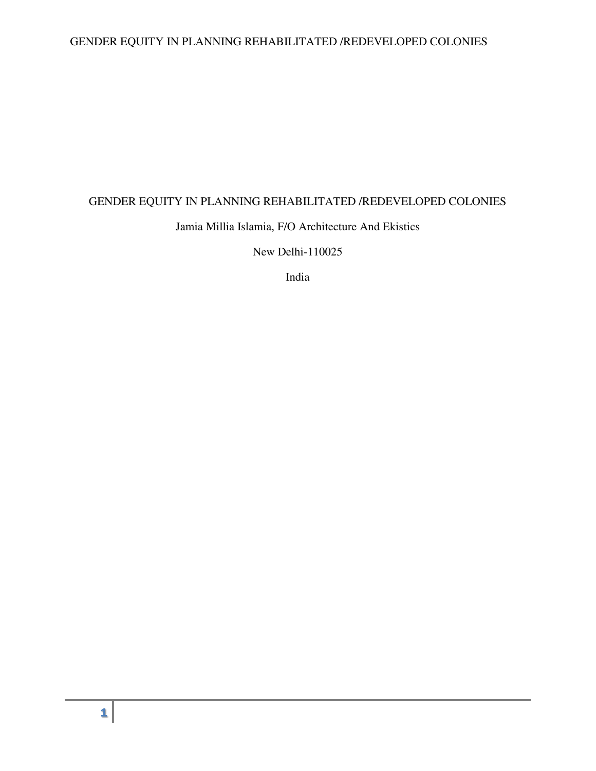# GENDER EQUITY IN PLANNING REHABILITATED /REDEVELOPED COLONIES

## GENDER EQUITY IN PLANNING REHABILITATED /REDEVELOPED COLONIES

## Jamia Millia Islamia, F/O Architecture And Ekistics

New Delhi-110025

India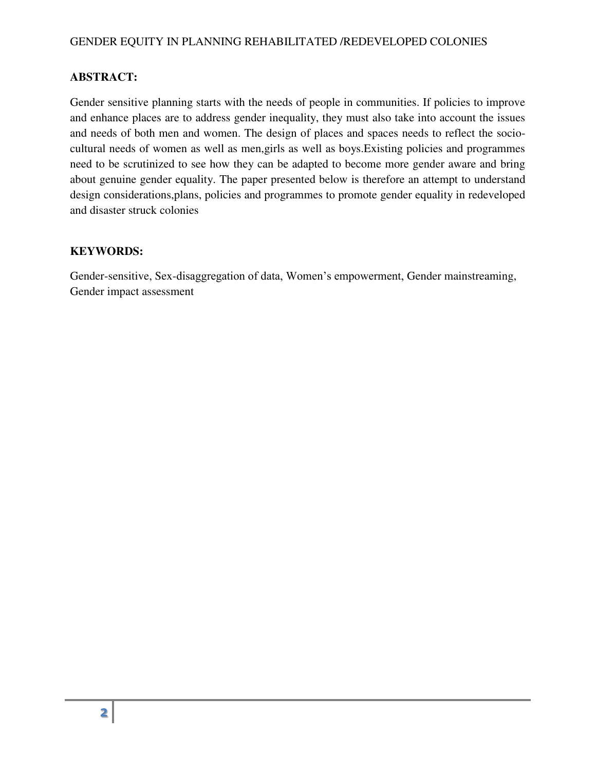## **ABSTRACT:**

Gender sensitive planning starts with the needs of people in communities. If policies to improve and enhance places are to address gender inequality, they must also take into account the issues and needs of both men and women. The design of places and spaces needs to reflect the sociocultural needs of women as well as men,girls as well as boys.Existing policies and programmes need to be scrutinized to see how they can be adapted to become more gender aware and bring about genuine gender equality. The paper presented below is therefore an attempt to understand design considerations,plans, policies and programmes to promote gender equality in redeveloped and disaster struck colonies

#### **KEYWORDS:**

Gender-sensitive, Sex-disaggregation of data, Women's empowerment, Gender mainstreaming, Gender impact assessment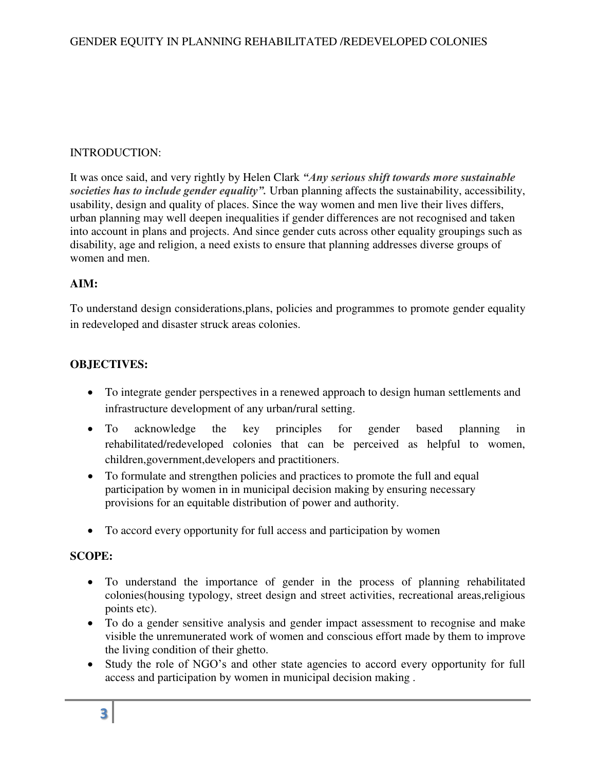## INTRODUCTION:

It was once said, and very rightly by Helen Clark *"Any serious shift towards more sustainable societies has to include gender equality".* Urban planning affects the sustainability, accessibility, usability, design and quality of places. Since the way women and men live their lives differs, urban planning may well deepen inequalities if gender differences are not recognised and taken into account in plans and projects. And since gender cuts across other equality groupings such as disability, age and religion, a need exists to ensure that planning addresses diverse groups of women and men.

## **AIM:**

To understand design considerations,plans, policies and programmes to promote gender equality in redeveloped and disaster struck areas colonies.

## **OBJECTIVES:**

- To integrate gender perspectives in a renewed approach to design human settlements and infrastructure development of any urban/rural setting.
- To acknowledge the key principles for gender based planning in rehabilitated/redeveloped colonies that can be perceived as helpful to women, children,government,developers and practitioners.
- To formulate and strengthen policies and practices to promote the full and equal participation by women in in municipal decision making by ensuring necessary provisions for an equitable distribution of power and authority.
- To accord every opportunity for full access and participation by women

### **SCOPE:**

- To understand the importance of gender in the process of planning rehabilitated colonies(housing typology, street design and street activities, recreational areas,religious points etc).
- To do a gender sensitive analysis and gender impact assessment to recognise and make visible the unremunerated work of women and conscious effort made by them to improve the living condition of their ghetto.
- Study the role of NGO's and other state agencies to accord every opportunity for full access and participation by women in municipal decision making .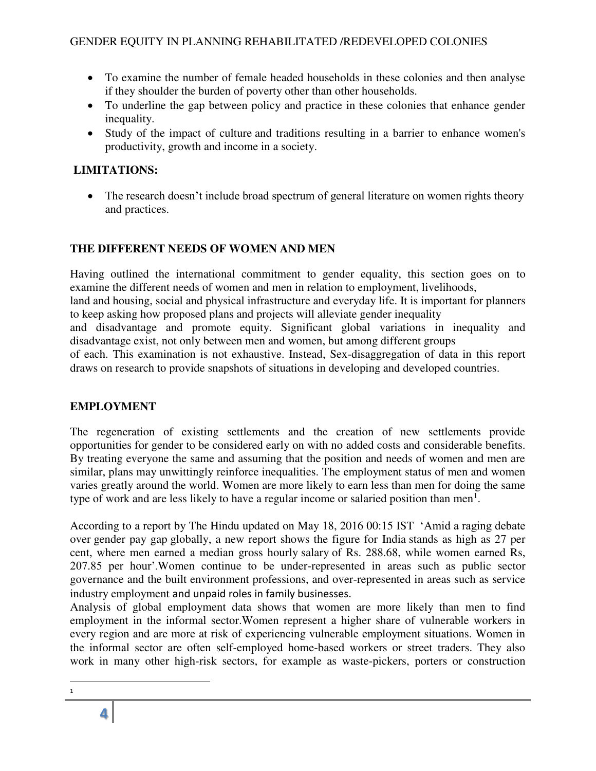- To examine the number of female headed households in these colonies and then analyse if they shoulder the burden of poverty other than other households.
- To underline the gap between policy and practice in these colonies that enhance gender inequality.
- Study of the impact of culture and traditions resulting in a barrier to enhance women's productivity, growth and income in a society.

# **LIMITATIONS:**

• The research doesn't include broad spectrum of general literature on women rights theory and practices.

# **THE DIFFERENT NEEDS OF WOMEN AND MEN**

Having outlined the international commitment to gender equality, this section goes on to examine the different needs of women and men in relation to employment, livelihoods,

land and housing, social and physical infrastructure and everyday life. It is important for planners to keep asking how proposed plans and projects will alleviate gender inequality

and disadvantage and promote equity. Significant global variations in inequality and disadvantage exist, not only between men and women, but among different groups

of each. This examination is not exhaustive. Instead, Sex-disaggregation of data in this report draws on research to provide snapshots of situations in developing and developed countries.

## **EMPLOYMENT**

The regeneration of existing settlements and the creation of new settlements provide opportunities for gender to be considered early on with no added costs and considerable benefits. By treating everyone the same and assuming that the position and needs of women and men are similar, plans may unwittingly reinforce inequalities. The employment status of men and women varies greatly around the world. Women are more likely to earn less than men for doing the same type of work and are less likely to have a regular income or salaried position than men<sup>1</sup>.

According to a report by The Hindu updated on May 18, 2016 00:15 IST 'Amid a raging debate over gender pay gap globally, a new report shows the figure for India stands as high as 27 per cent, where men earned a median gross hourly salary of Rs. 288.68, while women earned Rs, 207.85 per hour'.Women continue to be under-represented in areas such as public sector governance and the built environment professions, and over-represented in areas such as service industry employment and unpaid roles in family businesses.

Analysis of global employment data shows that women are more likely than men to find employment in the informal sector.Women represent a higher share of vulnerable workers in every region and are more at risk of experiencing vulnerable employment situations. Women in the informal sector are often self-employed home-based workers or street traders. They also work in many other high-risk sectors, for example as waste-pickers, porters or construction

l 1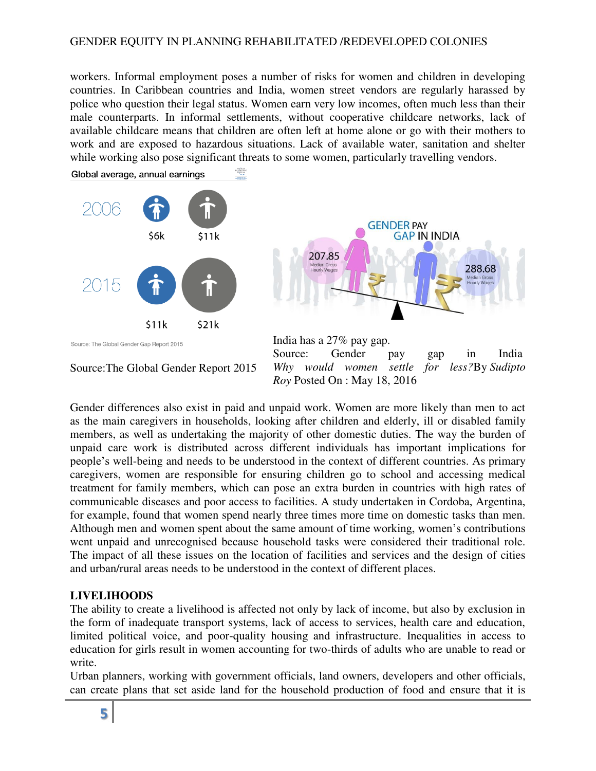### GENDER EQUITY IN PLANNING REHABILITATED /REDEVELOPED COLONIES

workers. Informal employment poses a number of risks for women and children in developing countries. In Caribbean countries and India, women street vendors are regularly harassed by police who question their legal status. Women earn very low incomes, often much less than their male counterparts. In informal settlements, without cooperative childcare networks, lack of available childcare means that children are often left at home alone or go with their mothers to work and are exposed to hazardous situations. Lack of available water, sanitation and shelter while working also pose significant threats to some women, particularly travelling vendors. WORLD<br>ECONOMI

Global average, annual earnings



Gender differences also exist in paid and unpaid work. Women are more likely than men to act as the main caregivers in households, looking after children and elderly, ill or disabled family members, as well as undertaking the majority of other domestic duties. The way the burden of unpaid care work is distributed across different individuals has important implications for people's well-being and needs to be understood in the context of different countries. As primary caregivers, women are responsible for ensuring children go to school and accessing medical treatment for family members, which can pose an extra burden in countries with high rates of communicable diseases and poor access to facilities. A study undertaken in Cordoba, Argentina, for example, found that women spend nearly three times more time on domestic tasks than men. Although men and women spent about the same amount of time working, women's contributions went unpaid and unrecognised because household tasks were considered their traditional role. The impact of all these issues on the location of facilities and services and the design of cities and urban/rural areas needs to be understood in the context of different places.

### **LIVELIHOODS**

The ability to create a livelihood is affected not only by lack of income, but also by exclusion in the form of inadequate transport systems, lack of access to services, health care and education, limited political voice, and poor-quality housing and infrastructure. Inequalities in access to education for girls result in women accounting for two-thirds of adults who are unable to read or write.

Urban planners, working with government officials, land owners, developers and other officials, can create plans that set aside land for the household production of food and ensure that it is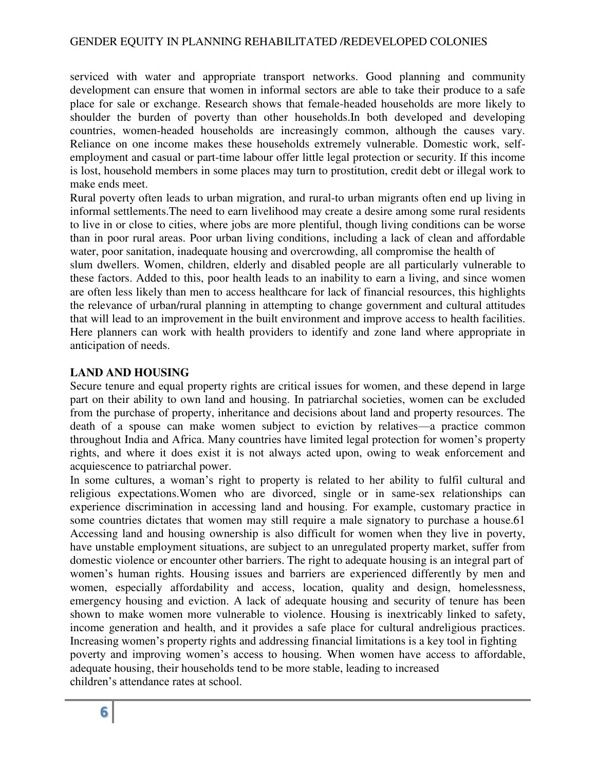serviced with water and appropriate transport networks. Good planning and community development can ensure that women in informal sectors are able to take their produce to a safe place for sale or exchange. Research shows that female-headed households are more likely to shoulder the burden of poverty than other households.In both developed and developing countries, women-headed households are increasingly common, although the causes vary. Reliance on one income makes these households extremely vulnerable. Domestic work, selfemployment and casual or part-time labour offer little legal protection or security. If this income is lost, household members in some places may turn to prostitution, credit debt or illegal work to make ends meet.

Rural poverty often leads to urban migration, and rural-to urban migrants often end up living in informal settlements.The need to earn livelihood may create a desire among some rural residents to live in or close to cities, where jobs are more plentiful, though living conditions can be worse than in poor rural areas. Poor urban living conditions, including a lack of clean and affordable water, poor sanitation, inadequate housing and overcrowding, all compromise the health of

slum dwellers. Women, children, elderly and disabled people are all particularly vulnerable to these factors. Added to this, poor health leads to an inability to earn a living, and since women are often less likely than men to access healthcare for lack of financial resources, this highlights the relevance of urban/rural planning in attempting to change government and cultural attitudes that will lead to an improvement in the built environment and improve access to health facilities. Here planners can work with health providers to identify and zone land where appropriate in anticipation of needs.

#### **LAND AND HOUSING**

Secure tenure and equal property rights are critical issues for women, and these depend in large part on their ability to own land and housing. In patriarchal societies, women can be excluded from the purchase of property, inheritance and decisions about land and property resources. The death of a spouse can make women subject to eviction by relatives—a practice common throughout India and Africa. Many countries have limited legal protection for women's property rights, and where it does exist it is not always acted upon, owing to weak enforcement and acquiescence to patriarchal power.

In some cultures, a woman's right to property is related to her ability to fulfil cultural and religious expectations.Women who are divorced, single or in same-sex relationships can experience discrimination in accessing land and housing. For example, customary practice in some countries dictates that women may still require a male signatory to purchase a house.61 Accessing land and housing ownership is also difficult for women when they live in poverty, have unstable employment situations, are subject to an unregulated property market, suffer from domestic violence or encounter other barriers. The right to adequate housing is an integral part of women's human rights. Housing issues and barriers are experienced differently by men and women, especially affordability and access, location, quality and design, homelessness, emergency housing and eviction. A lack of adequate housing and security of tenure has been shown to make women more vulnerable to violence. Housing is inextricably linked to safety, income generation and health, and it provides a safe place for cultural andreligious practices. Increasing women's property rights and addressing financial limitations is a key tool in fighting poverty and improving women's access to housing. When women have access to affordable, adequate housing, their households tend to be more stable, leading to increased children's attendance rates at school.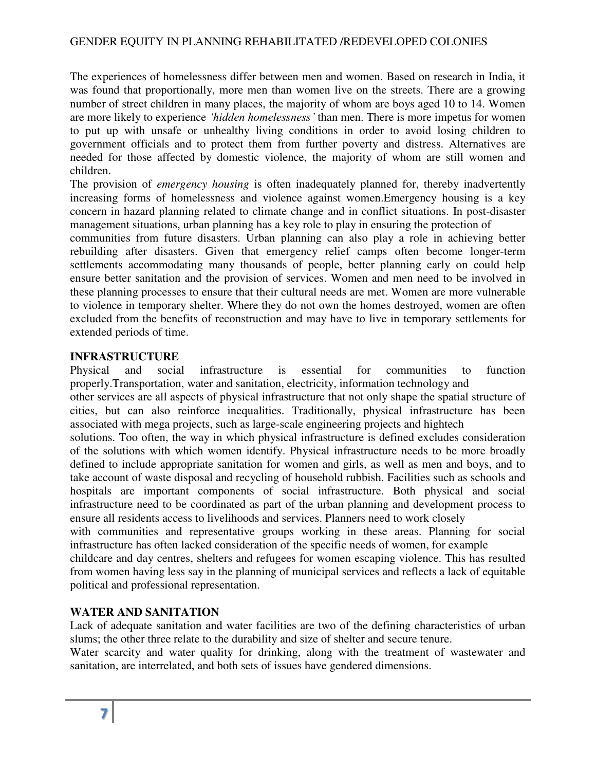The experiences of homelessness differ between men and women. Based on research in India, it was found that proportionally, more men than women live on the streets. There are a growing number of street children in many places, the majority of whom are boys aged 10 to 14. Women are more likely to experience *'hidden homelessness'* than men. There is more impetus for women to put up with unsafe or unhealthy living conditions in order to avoid losing children to government officials and to protect them from further poverty and distress. Alternatives are needed for those affected by domestic violence, the majority of whom are still women and children.

The provision of *emergency housing* is often inadequately planned for, thereby inadvertently increasing forms of homelessness and violence against women.Emergency housing is a key concern in hazard planning related to climate change and in conflict situations. In post-disaster management situations, urban planning has a key role to play in ensuring the protection of

communities from future disasters. Urban planning can also play a role in achieving better rebuilding after disasters. Given that emergency relief camps often become longer-term settlements accommodating many thousands of people, better planning early on could help ensure better sanitation and the provision of services. Women and men need to be involved in these planning processes to ensure that their cultural needs are met. Women are more vulnerable to violence in temporary shelter. Where they do not own the homes destroyed, women are often excluded from the benefits of reconstruction and may have to live in temporary settlements for extended periods of time.

## **INFRASTRUCTURE**

Physical and social infrastructure is essential for communities to function properly.Transportation, water and sanitation, electricity, information technology and

other services are all aspects of physical infrastructure that not only shape the spatial structure of cities, but can also reinforce inequalities. Traditionally, physical infrastructure has been associated with mega projects, such as large-scale engineering projects and hightech

solutions. Too often, the way in which physical infrastructure is defined excludes consideration of the solutions with which women identify. Physical infrastructure needs to be more broadly defined to include appropriate sanitation for women and girls, as well as men and boys, and to take account of waste disposal and recycling of household rubbish. Facilities such as schools and hospitals are important components of social infrastructure. Both physical and social infrastructure need to be coordinated as part of the urban planning and development process to ensure all residents access to livelihoods and services. Planners need to work closely

with communities and representative groups working in these areas. Planning for social infrastructure has often lacked consideration of the specific needs of women, for example

childcare and day centres, shelters and refugees for women escaping violence. This has resulted from women having less say in the planning of municipal services and reflects a lack of equitable political and professional representation.

## **WATER AND SANITATION**

Lack of adequate sanitation and water facilities are two of the defining characteristics of urban slums; the other three relate to the durability and size of shelter and secure tenure.

Water scarcity and water quality for drinking, along with the treatment of wastewater and sanitation, are interrelated, and both sets of issues have gendered dimensions.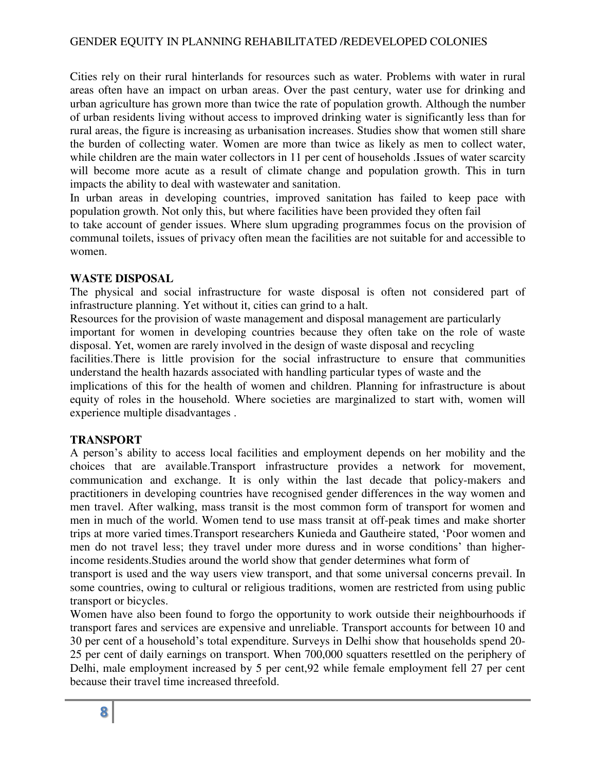### GENDER EQUITY IN PLANNING REHABILITATED /REDEVELOPED COLONIES

Cities rely on their rural hinterlands for resources such as water. Problems with water in rural areas often have an impact on urban areas. Over the past century, water use for drinking and urban agriculture has grown more than twice the rate of population growth. Although the number of urban residents living without access to improved drinking water is significantly less than for rural areas, the figure is increasing as urbanisation increases. Studies show that women still share the burden of collecting water. Women are more than twice as likely as men to collect water, while children are the main water collectors in 11 per cent of households .Issues of water scarcity will become more acute as a result of climate change and population growth. This in turn impacts the ability to deal with wastewater and sanitation.

In urban areas in developing countries, improved sanitation has failed to keep pace with population growth. Not only this, but where facilities have been provided they often fail

to take account of gender issues. Where slum upgrading programmes focus on the provision of communal toilets, issues of privacy often mean the facilities are not suitable for and accessible to women.

#### **WASTE DISPOSAL**

The physical and social infrastructure for waste disposal is often not considered part of infrastructure planning. Yet without it, cities can grind to a halt.

Resources for the provision of waste management and disposal management are particularly important for women in developing countries because they often take on the role of waste disposal. Yet, women are rarely involved in the design of waste disposal and recycling facilities.There is little provision for the social infrastructure to ensure that communities understand the health hazards associated with handling particular types of waste and the implications of this for the health of women and children. Planning for infrastructure is about equity of roles in the household. Where societies are marginalized to start with, women will experience multiple disadvantages .

#### **TRANSPORT**

A person's ability to access local facilities and employment depends on her mobility and the choices that are available.Transport infrastructure provides a network for movement, communication and exchange. It is only within the last decade that policy-makers and practitioners in developing countries have recognised gender differences in the way women and men travel. After walking, mass transit is the most common form of transport for women and men in much of the world. Women tend to use mass transit at off-peak times and make shorter trips at more varied times.Transport researchers Kunieda and Gautheire stated, 'Poor women and men do not travel less; they travel under more duress and in worse conditions' than higherincome residents.Studies around the world show that gender determines what form of

transport is used and the way users view transport, and that some universal concerns prevail. In some countries, owing to cultural or religious traditions, women are restricted from using public transport or bicycles.

Women have also been found to forgo the opportunity to work outside their neighbourhoods if transport fares and services are expensive and unreliable. Transport accounts for between 10 and 30 per cent of a household's total expenditure. Surveys in Delhi show that households spend 20- 25 per cent of daily earnings on transport. When 700,000 squatters resettled on the periphery of Delhi, male employment increased by 5 per cent,92 while female employment fell 27 per cent because their travel time increased threefold.